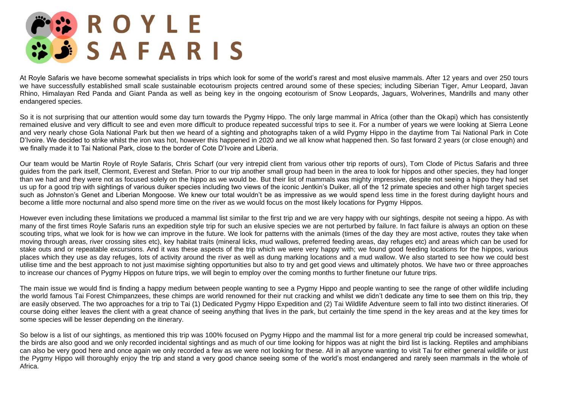

At Royle Safaris we have become somewhat specialists in trips which look for some of the world's rarest and most elusive mammals. After 12 years and over 250 tours we have successfully established small scale sustainable ecotourism projects centred around some of these species; including Siberian Tiger, Amur Leopard, Javan Rhino, Himalayan Red Panda and Giant Panda as well as being key in the ongoing ecotourism of Snow Leopards, Jaguars, Wolverines, Mandrills and many other endangered species.

So it is not surprising that our attention would some day turn towards the Pygmy Hippo. The only large mammal in Africa (other than the Okapi) which has consistently remained elusive and very difficult to see and even more difficult to produce repeated successful trips to see it. For a number of years we were looking at Sierra Leone and very nearly chose Gola National Park but then we heard of a sighting and photographs taken of a wild Pygmy Hippo in the daytime from Tai National Park in Cote D'Ivoire. We decided to strike whilst the iron was hot, however this happened in 2020 and we all know what happened then. So fast forward 2 years (or close enough) and we finally made it to Tai National Park, close to the border of Cote D'Ivoire and Liberia.

Our team would be Martin Royle of Royle Safaris, Chris Scharf (our very intrepid client from various other trip reports of ours), Tom Clode of Pictus Safaris and three guides from the park itself, Clermont, Everest and Stefan. Prior to our trip another small group had been in the area to look for hippos and other species, they had longer than we had and they were not as focused solely on the hippo as we would be. But their list of mammals was mighty impressive, despite not seeing a hippo they had set us up for a good trip with sightings of various duiker species including two views of the iconic Jentkin's Duiker, all of the 12 primate species and other high target species such as Johnston's Genet and Liberian Mongoose. We knew our total wouldn't be as impressive as we would spend less time in the forest during daylight hours and become a little more nocturnal and also spend more time on the river as we would focus on the most likely locations for Pygmy Hippos.

However even including these limitations we produced a mammal list similar to the first trip and we are very happy with our sightings, despite not seeing a hippo. As with many of the first times Royle Safaris runs an expedition style trip for such an elusive species we are not perturbed by failure. In fact failure is always an option on these scouting trips, what we look for is how we can improve in the future. We look for patterns with the animals (times of the day they are most active, routes they take when moving through areas, river crossing sites etc), key habitat traits (mineral licks, mud wallows, preferred feeding areas, day refuges etc) and areas which can be used for stake outs and or repeatable excursions. And it was these aspects of the trip which we were very happy with; we found good feeding locations for the hippos, various places which they use as day refuges, lots of activity around the river as well as dung marking locations and a mud wallow. We also started to see how we could best utilise time and the best approach to not just maximise sighting opportunities but also to try and get good views and ultimately photos. We have two or three approaches to increase our chances of Pygmy Hippos on future trips, we will begin to employ over the coming months to further finetune our future trips.

The main issue we would find is finding a happy medium between people wanting to see a Pygmy Hippo and people wanting to see the range of other wildlife including the world famous Tai Forest Chimpanzees, these chimps are world renowned for their nut cracking and whilst we didn't dedicate any time to see them on this trip, they are easily observed. The two approaches for a trip to Tai (1) Dedicated Pygmy Hippo Expedition and (2) Tai Wildlife Adventure seem to fall into two distinct itineraries. Of course doing either leaves the client with a great chance of seeing anything that lives in the park, but certainly the time spend in the key areas and at the key times for some species will be lesser depending on the itinerary.

So below is a list of our sightings, as mentioned this trip was 100% focused on Pygmy Hippo and the mammal list for a more general trip could be increased somewhat, the birds are also good and we only recorded incidental sightings and as much of our time looking for hippos was at night the bird list is lacking. Reptiles and amphibians can also be very good here and once again we only recorded a few as we were not looking for these. All in all anyone wanting to visit Tai for either general wildlife or just the Pygmy Hippo will thoroughly enjoy the trip and stand a very good chance seeing some of the world's most endangered and rarely seen mammals in the whole of Africa.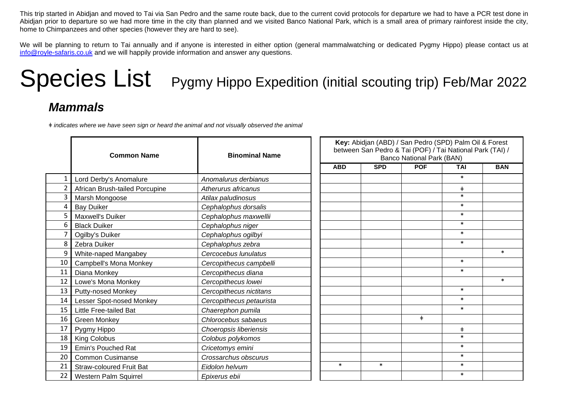This trip started in Abidjan and moved to Tai via San Pedro and the same route back, due to the current covid protocols for departure we had to have a PCR test done in Abidjan prior to departure so we had more time in the city than planned and we visited Banco National Park, which is a small area of primary rainforest inside the city, home to Chimpanzees and other species (however they are hard to see).

We will be planning to return to Tai annually and if anyone is interested in either option (general mammalwatching or dedicated Pygmy Hippo) please contact us at [info@royle-safaris.co.uk](mailto:info@royle-safaris.co.uk) and we will happily provide information and answer any questions.

# Species List Pygmy Hippo Expedition (initial scouting trip) Feb/Mar 2022

#### *Mammals*

*ǂ indicates where we have seen sign or heard the animal and not visually observed the animal*

|    | <b>Common Name</b>              | <b>Binominal Name</b>    |            |            | Key: Abidjan (ABD) / San Pedro (SPD) Palm Oil & Forest<br>between San Pedro & Tai (POF) / Tai National Park (TAI) /<br>Banco National Park (BAN) |            |            |
|----|---------------------------------|--------------------------|------------|------------|--------------------------------------------------------------------------------------------------------------------------------------------------|------------|------------|
|    |                                 |                          | <b>ABD</b> | <b>SPD</b> | <b>POF</b>                                                                                                                                       | <b>TAI</b> | <b>BAN</b> |
|    | Lord Derby's Anomalure          | Anomalurus derbianus     |            |            |                                                                                                                                                  | $\ast$     |            |
|    | African Brush-tailed Porcupine  | Atherurus africanus      |            |            |                                                                                                                                                  | ŧ          |            |
|    | Marsh Mongoose                  | Atilax paludinosus       |            |            |                                                                                                                                                  | $\ast$     |            |
|    | <b>Bay Duiker</b>               | Cephalophus dorsalis     |            |            |                                                                                                                                                  | $\ast$     |            |
|    | Maxwell's Duiker                | Cephalophus maxwellii    |            |            |                                                                                                                                                  | $\ast$     |            |
| 6  | <b>Black Duiker</b>             | Cephalophus niger        |            |            |                                                                                                                                                  | $\ast$     |            |
|    | Ogilby's Duiker                 | Cephalophus ogilbyi      |            |            |                                                                                                                                                  | $\ast$     |            |
| 8  | Zebra Duiker                    | Cephalophus zebra        |            |            |                                                                                                                                                  | $\ast$     |            |
| 9  | White-naped Mangabey            | Cercocebus lunulatus     |            |            |                                                                                                                                                  |            | $\ast$     |
| 10 | Campbell's Mona Monkey          | Cercopithecus campbelli  |            |            |                                                                                                                                                  | $\ast$     |            |
| 11 | Diana Monkey                    | Cercopithecus diana      |            |            |                                                                                                                                                  | $\ast$     |            |
| 12 | Lowe's Mona Monkey              | Cercopithecus lowei      |            |            |                                                                                                                                                  |            | $\ast$     |
| 13 | <b>Putty-nosed Monkey</b>       | Cercopithecus nictitans  |            |            |                                                                                                                                                  | $\ast$     |            |
| 14 | Lesser Spot-nosed Monkey        | Cercopithecus petaurista |            |            |                                                                                                                                                  | $\ast$     |            |
| 15 | <b>Little Free-tailed Bat</b>   | Chaerephon pumila        |            |            |                                                                                                                                                  | $\ast$     |            |
| 16 | Green Monkey                    | Chlorocebus sabaeus      |            |            | $\pm$                                                                                                                                            |            |            |
| 17 | Pygmy Hippo                     | Choeropsis liberiensis   |            |            |                                                                                                                                                  | ŧ          |            |
| 18 | King Colobus                    | Colobus polykomos        |            |            |                                                                                                                                                  | $\ast$     |            |
| 19 | <b>Emin's Pouched Rat</b>       | Cricetomys emini         |            |            |                                                                                                                                                  | $\ast$     |            |
| 20 | <b>Common Cusimanse</b>         | Crossarchus obscurus     |            |            |                                                                                                                                                  | $\ast$     |            |
| 21 | <b>Straw-coloured Fruit Bat</b> | Eidolon helvum           | $\ast$     | $\ast$     |                                                                                                                                                  | $\ast$     |            |
| 22 | Western Palm Squirrel           | Epixerus ebii            |            |            |                                                                                                                                                  | $\ast$     |            |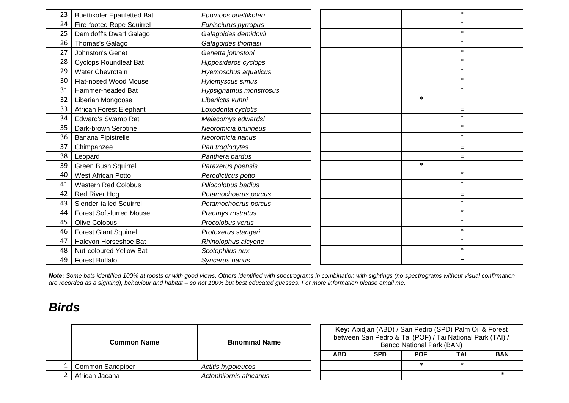| 23 | <b>Buettikofer Epauletted Bat</b> | Epomops buettikoferi    |        | $\ast$     |  |
|----|-----------------------------------|-------------------------|--------|------------|--|
| 24 | Fire-footed Rope Squirrel         | Funisciurus pyrropus    |        | $\ast$     |  |
| 25 | Demidoff's Dwarf Galago           | Galagoides demidovii    |        | $\ast$     |  |
| 26 | Thomas's Galago                   | Galagoides thomasi      |        | $\ast$     |  |
| 27 | Johnston's Genet                  | Genetta johnstoni       |        | $\ast$     |  |
| 28 | <b>Cyclops Roundleaf Bat</b>      | Hipposideros cyclops    |        | $\ast$     |  |
| 29 | <b>Water Chevrotain</b>           | Hyemoschus aquaticus    |        | $\ast$     |  |
| 30 | Flat-nosed Wood Mouse             | Hylomyscus simus        |        | $\ast$     |  |
| 31 | Hammer-headed Bat                 | Hypsignathus monstrosus |        | $\ast$     |  |
| 32 | Liberian Mongoose                 | Liberiictis kuhni       | $\ast$ |            |  |
| 33 | African Forest Elephant           | Loxodonta cyclotis      |        | $\ddagger$ |  |
| 34 | <b>Edward's Swamp Rat</b>         | Malacomys edwardsi      |        | $\ast$     |  |
| 35 | Dark-brown Serotine               | Neoromicia brunneus     |        | $\ast$     |  |
| 36 | Banana Pipistrelle                | Neoromicia nanus        |        | $\ast$     |  |
| 37 | Chimpanzee                        | Pan troglodytes         |        | $\ddagger$ |  |
| 38 | Leopard                           | Panthera pardus         |        | $\ddagger$ |  |
| 39 | Green Bush Squirrel               | Paraxerus poensis       | $\ast$ |            |  |
| 40 | <b>West African Potto</b>         | Perodicticus potto      |        | $\ast$     |  |
| 41 | <b>Western Red Colobus</b>        | Piliocolobus badius     |        | $\ast$     |  |
| 42 | Red River Hog                     | Potamochoerus porcus    |        | $\ddagger$ |  |
| 43 | Slender-tailed Squirrel           | Potamochoerus porcus    |        | $\ast$     |  |
| 44 | <b>Forest Soft-furred Mouse</b>   | Praomys rostratus       |        | $\ast$     |  |
| 45 | <b>Olive Colobus</b>              | Procolobus verus        |        | $\ast$     |  |
| 46 | <b>Forest Giant Squirrel</b>      | Protoxerus stangeri     |        | $\ast$     |  |
| 47 | Halcyon Horseshoe Bat             | Rhinolophus alcyone     |        | $\ast$     |  |
| 48 | Nut-coloured Yellow Bat           | Scotophilus nux         |        | $\ast$     |  |
| 49 | <b>Forest Buffalo</b>             | Syncerus nanus          |        | $\pm$      |  |

*Note: Some bats identified 100% at roosts or with good views. Others identified with spectrograms in combination with sightings (no spectrograms without visual confirmation are recorded as a sighting), behaviour and habitat – so not 100% but best educated guesses. For more information please email me.*

#### *Birds*

| <b>Common Name</b> | <b>Binominal Name</b>   |  | Key: Abidjan (ABD) / San Pedro (SPD) Palm Oil & Fores<br>between San Pedro & Tai (POF) / Tai National Park (TAI)<br><b>Banco National Park (BAN)</b> |            |            |     |    |  |  |  |
|--------------------|-------------------------|--|------------------------------------------------------------------------------------------------------------------------------------------------------|------------|------------|-----|----|--|--|--|
|                    |                         |  | <b>ABD</b>                                                                                                                                           | <b>SPD</b> | <b>POF</b> | TAI | BA |  |  |  |
| L Common Sandpiper | Actitis hypoleucos      |  |                                                                                                                                                      |            |            |     |    |  |  |  |
| !   African Jacana | Actophilornis africanus |  |                                                                                                                                                      |            |            |     |    |  |  |  |

|            | Key: Abidjan (ABD) / San Pedro (SPD) Palm Oil & Forest<br>between San Pedro & Tai (POF) / Tai National Park (TAI) /<br><b>Banco National Park (BAN)</b> |            |            |        |  |  |  |  |  |  |  |
|------------|---------------------------------------------------------------------------------------------------------------------------------------------------------|------------|------------|--------|--|--|--|--|--|--|--|
| <b>ABD</b> | <b>SPD</b>                                                                                                                                              | <b>POF</b> | <b>BAN</b> |        |  |  |  |  |  |  |  |
|            |                                                                                                                                                         | $\ast$     | $\ast$     |        |  |  |  |  |  |  |  |
|            |                                                                                                                                                         |            |            | $\ast$ |  |  |  |  |  |  |  |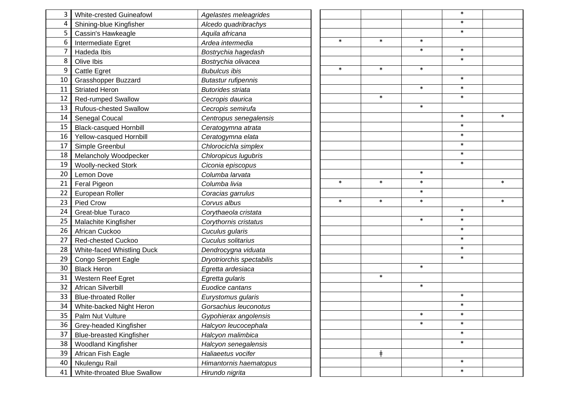| 3  | <b>White-crested Guineafowl</b> | Agelastes meleagrides      |        |            |        | $\ast$ |        |
|----|---------------------------------|----------------------------|--------|------------|--------|--------|--------|
| 4  | Shining-blue Kingfisher         | Alcedo quadribrachys       |        |            |        | $\ast$ |        |
| 5  | Cassin's Hawkeagle              | Aquila africana            |        |            |        | $\ast$ |        |
| 6  | Intermediate Egret              | Ardea intermedia           | $\ast$ | $\ast$     | $\ast$ |        |        |
|    | Hadeda Ibis                     | Bostrychia hagedash        |        |            | $\ast$ | $\ast$ |        |
| 8  | Olive Ibis                      | Bostrychia olivacea        |        |            |        | $\ast$ |        |
| 9  | Cattle Egret                    | <b>Bubulcus ibis</b>       | $\ast$ | $\ast$     | $\ast$ |        |        |
| 10 | <b>Grasshopper Buzzard</b>      | <b>Butastur rufipennis</b> |        |            |        | $\ast$ |        |
| 11 | <b>Striated Heron</b>           | <b>Butorides striata</b>   |        |            | $\ast$ | $\ast$ |        |
| 12 | <b>Red-rumped Swallow</b>       | Cecropis daurica           |        | $\ast$     |        | $\ast$ |        |
| 13 | <b>Rufous-chested Swallow</b>   | Cecropis semirufa          |        |            | $\ast$ |        |        |
| 14 | Senegal Coucal                  | Centropus senegalensis     |        |            |        | $\ast$ | $\ast$ |
| 15 | <b>Black-casqued Hornbill</b>   | Ceratogymna atrata         |        |            |        | $\ast$ |        |
| 16 | Yellow-casqued Hornbill         | Ceratogymna elata          |        |            |        | $\ast$ |        |
| 17 | Simple Greenbul                 | Chlorocichla simplex       |        |            |        | $\ast$ |        |
| 18 | Melancholy Woodpecker           | Chloropicus lugubris       |        |            |        | $\ast$ |        |
| 19 | Woolly-necked Stork             | Ciconia episcopus          |        |            |        | $\ast$ |        |
| 20 | Lemon Dove                      | Columba larvata            |        |            | $\ast$ |        |        |
| 21 | Feral Pigeon                    | Columba livia              | $\ast$ | $\ast$     | $\ast$ |        | $\ast$ |
| 22 | European Roller                 | Coracias garrulus          |        |            | $\ast$ |        |        |
| 23 | Pied Crow                       | Corvus albus               | $\ast$ | $\ast$     | $\ast$ |        | $\ast$ |
| 24 | Great-blue Turaco               | Corythaeola cristata       |        |            |        | $\ast$ |        |
| 25 | Malachite Kingfisher            | Corythornis cristatus      |        |            | $\ast$ | $\ast$ |        |
| 26 | African Cuckoo                  | Cuculus gularis            |        |            |        | $\ast$ |        |
| 27 | Red-chested Cuckoo              | Cuculus solitarius         |        |            |        | $\ast$ |        |
| 28 | White-faced Whistling Duck      | Dendrocygna viduata        |        |            |        | $\ast$ |        |
| 29 | Congo Serpent Eagle             | Dryotriorchis spectabilis  |        |            |        | $\ast$ |        |
| 30 | <b>Black Heron</b>              | Egretta ardesiaca          |        |            | $\ast$ |        |        |
| 31 | Western Reef Egret              | Egretta gularis            |        | $\ast$     |        |        |        |
| 32 | African Silverbill              | Euodice cantans            |        |            | $\ast$ |        |        |
| 33 | <b>Blue-throated Roller</b>     | Eurystomus gularis         |        |            |        | $\ast$ |        |
| 34 | White-backed Night Heron        | Gorsachius leuconotus      |        |            |        | $\ast$ |        |
| 35 | Palm Nut Vulture                | Gypohierax angolensis      |        |            |        |        |        |
| 36 | Grey-headed Kingfisher          | Halcyon leucocephala       |        |            | $\ast$ | $\ast$ |        |
| 37 | <b>Blue-breasted Kingfisher</b> | Halcyon malimbica          |        |            |        | $\ast$ |        |
| 38 | <b>Woodland Kingfisher</b>      | Halcyon senegalensis       |        |            |        | $\ast$ |        |
| 39 | African Fish Eagle              | Haliaeetus vocifer         |        | $\ddagger$ |        |        |        |
| 40 | Nkulengu Rail                   | Himantornis haematopus     |        |            |        | $\ast$ |        |
| 41 | White-throated Blue Swallow     | Hirundo nigrita            |        |            |        | $\ast$ |        |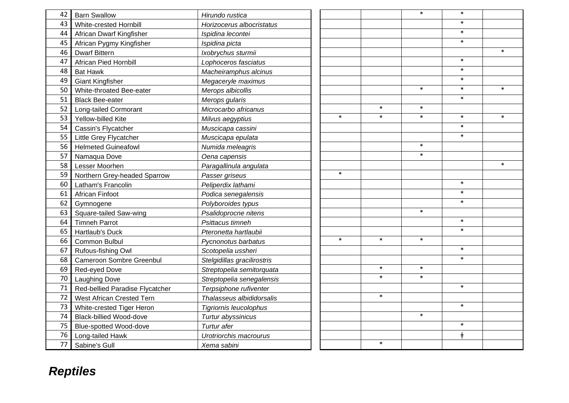| 42 | <b>Barn Swallow</b>              | Hirundo rustica             |        |        | $\ast$ | $\ast$     |        |
|----|----------------------------------|-----------------------------|--------|--------|--------|------------|--------|
| 43 | White-crested Hornbill           | Horizocerus albocristatus   |        |        |        | $\ast$     |        |
| 44 | African Dwarf Kingfisher         | Ispidina lecontei           |        |        |        | $\ast$     |        |
| 45 | African Pygmy Kingfisher         | Ispidina picta              |        |        |        | $\ast$     |        |
| 46 | <b>Dwarf Bittern</b>             | Ixobrychus sturmii          |        |        |        |            | $\ast$ |
| 47 | African Pied Hornbill            | Lophoceros fasciatus        |        |        |        | $\ast$     |        |
| 48 | <b>Bat Hawk</b>                  | Macheiramphus alcinus       |        |        |        | $\ast$     |        |
| 49 | <b>Giant Kingfisher</b>          | Megaceryle maximus          |        |        |        | $\ast$     |        |
| 50 | White-throated Bee-eater         | Merops albicollis           |        |        | $\ast$ | $\ast$     | $\ast$ |
| 51 | <b>Black Bee-eater</b>           | Merops gularis              |        |        |        | $\ast$     |        |
| 52 | Long-tailed Cormorant            | Microcarbo africanus        |        | $\ast$ | $\ast$ |            |        |
| 53 | Yellow-billed Kite               | Milvus aegyptius            | $\ast$ | $\ast$ | $\ast$ | $\ast$     | $\ast$ |
| 54 | Cassin's Flycatcher              | Muscicapa cassini           |        |        |        | $\ast$     |        |
| 55 | Little Grey Flycatcher           | Muscicapa epulata           |        |        |        | $\ast$     |        |
| 56 | <b>Helmeted Guineafowl</b>       | Numida meleagris            |        |        | $\ast$ |            |        |
| 57 | Namaqua Dove                     | Oena capensis               |        |        | $\ast$ |            |        |
| 58 | Lesser Moorhen                   | Paragallinula angulata      |        |        |        |            | $\ast$ |
| 59 | Northern Grey-headed Sparrow     | Passer griseus              | $\ast$ |        |        |            |        |
| 60 | Latham's Francolin               | Peliperdix lathami          |        |        |        | $\ast$     |        |
| 61 | <b>African Finfoot</b>           | Podica senegalensis         |        |        |        | $\ast$     |        |
| 62 | Gymnogene                        | Polyboroides typus          |        |        |        | $\ast$     |        |
| 63 | Square-tailed Saw-wing           | Psalidoprocne nitens        |        |        | $\ast$ |            |        |
| 64 | <b>Timneh Parrot</b>             | Psittacus timneh            |        |        |        | $\ast$     |        |
| 65 | Hartlaub's Duck                  | Pteronetta hartlaubii       |        |        |        | $\ast$     |        |
| 66 | Common Bulbul                    | Pycnonotus barbatus         | $\ast$ | $\ast$ | $\ast$ |            |        |
| 67 | Rufous-fishing Owl               | Scotopelia ussheri          |        |        |        | $\ast$     |        |
| 68 | <b>Cameroon Sombre Greenbul</b>  | Stelgidillas gracilirostris |        |        |        | $\ast$     |        |
| 69 | Red-eyed Dove                    | Streptopelia semitorquata   |        | $\ast$ | $\ast$ |            |        |
| 70 | <b>Laughing Dove</b>             | Streptopelia senegalensis   |        | $\ast$ | $\ast$ |            |        |
| 71 | Red-bellied Paradise Flycatcher  | Terpsiphone rufiventer      |        |        |        | $\ast$     |        |
| 72 | <b>West African Crested Tern</b> | Thalasseus albididorsalis   |        | $\ast$ |        |            |        |
| 73 | White-crested Tiger Heron        | Tigriornis leucolophus      |        |        |        | $\ast$     |        |
| 74 | <b>Black-billied Wood-dove</b>   | Turtur abyssinicus          |        |        | $\ast$ |            |        |
| 75 | Blue-spotted Wood-dove           | Turtur afer                 |        |        |        | $\ast$     |        |
| 76 | Long-tailed Hawk                 | Urotriorchis macrourus      |        |        |        | $\ddagger$ |        |
| 77 | Sabine's Gull                    | Xema sabini                 |        | $\ast$ |        |            |        |

## *Reptiles*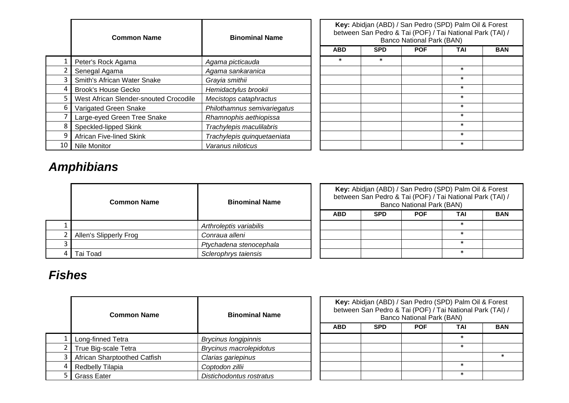|    | <b>Common Name</b>                     | <b>Binominal Name</b>       |            | Key: Abidjan (ABD) / San Pedro (SPD) Palm Oil & Forest<br>between San Pedro & Tai (POF) / Tai National Park (TAI) /<br><b>Banco National Park (BAN)</b> |            |        |            |  |  |  |
|----|----------------------------------------|-----------------------------|------------|---------------------------------------------------------------------------------------------------------------------------------------------------------|------------|--------|------------|--|--|--|
|    |                                        |                             | <b>ABD</b> | <b>SPD</b>                                                                                                                                              | <b>POF</b> | TAI    | <b>BAN</b> |  |  |  |
|    | Peter's Rock Agama                     | Agama picticauda            |            |                                                                                                                                                         |            |        |            |  |  |  |
|    | Senegal Agama                          | Agama sankaranica           |            |                                                                                                                                                         |            | ж      |            |  |  |  |
|    | Smith's African Water Snake            | Grayia smithii              |            |                                                                                                                                                         |            | $\ast$ |            |  |  |  |
|    | <b>Brook's House Gecko</b>             | Hemidactylus brookii        |            |                                                                                                                                                         |            | $\ast$ |            |  |  |  |
|    | West African Slender-snouted Crocodile | Mecistops cataphractus      |            |                                                                                                                                                         |            | $\ast$ |            |  |  |  |
|    | Varigated Green Snake                  | Philothamnus semivariegatus |            |                                                                                                                                                         |            | $\ast$ |            |  |  |  |
|    | Large-eyed Green Tree Snake            | Rhamnophis aethiopissa      |            |                                                                                                                                                         |            | $\ast$ |            |  |  |  |
|    | Speckled-lipped Skink                  | Trachylepis maculilabris    |            |                                                                                                                                                         |            | $\ast$ |            |  |  |  |
|    | <b>African Five-lined Skink</b>        | Trachylepis quinquetaeniata |            |                                                                                                                                                         |            | $\ast$ |            |  |  |  |
| 10 | Nile Monitor                           | Varanus niloticus           |            |                                                                                                                                                         |            | $\ast$ |            |  |  |  |

## *Amphibians*

| <b>Common Name</b>     | <b>Binominal Name</b>   |  | Key: Abidjan (ABD) / San Pedro (SPD) Pa<br>between San Pedro & Tai (POF) / Tai Natio<br><b>Banco National Park (BAN)</b> |            |            |    |  |  |  |
|------------------------|-------------------------|--|--------------------------------------------------------------------------------------------------------------------------|------------|------------|----|--|--|--|
|                        |                         |  | <b>ABD</b>                                                                                                               | <b>SPD</b> | <b>POF</b> | TΑ |  |  |  |
|                        | Arthroleptis variabilis |  |                                                                                                                          |            |            | ∗  |  |  |  |
| Allen's Slipperly Frog | Conraua alleni          |  |                                                                                                                          |            |            |    |  |  |  |
|                        | Ptychadena stenocephala |  |                                                                                                                          |            |            |    |  |  |  |
| Tai Toad               | Sclerophrys taiensis    |  |                                                                                                                          |            |            | ∗  |  |  |  |

|            | Key: Abidjan (ABD) / San Pedro (SPD) Palm Oil & Forest<br>between San Pedro & Tai (POF) / Tai National Park (TAI) /<br>Banco National Park (BAN) |  |        |  |  |  |  |  |  |  |  |
|------------|--------------------------------------------------------------------------------------------------------------------------------------------------|--|--------|--|--|--|--|--|--|--|--|
| <b>ABD</b> | SPD<br>BAN<br>TAI<br>POF                                                                                                                         |  |        |  |  |  |  |  |  |  |  |
|            |                                                                                                                                                  |  | $\ast$ |  |  |  |  |  |  |  |  |
|            |                                                                                                                                                  |  | $\ast$ |  |  |  |  |  |  |  |  |
|            |                                                                                                                                                  |  | $\ast$ |  |  |  |  |  |  |  |  |
|            |                                                                                                                                                  |  | $\ast$ |  |  |  |  |  |  |  |  |

#### *Fishes*

| <b>Common Name</b>           | <b>Binominal Name</b>       | Key: Abidjan (ABD) / San Pedro (SPD) Palm Oil & Fores<br>between San Pedro & Tai (POF) / Tai National Park (TAI)<br><b>Banco National Park (BAN)</b> |            |            |        |    |  |  |
|------------------------------|-----------------------------|------------------------------------------------------------------------------------------------------------------------------------------------------|------------|------------|--------|----|--|--|
|                              |                             | <b>ABD</b>                                                                                                                                           | <b>SPD</b> | <b>POF</b> | TAI    | BA |  |  |
| Long-finned Tetra            | <b>Brycinus longipinnis</b> |                                                                                                                                                      |            |            | $\ast$ |    |  |  |
| True Big-scale Tetra         | Brycinus macrolepidotus     |                                                                                                                                                      |            |            |        |    |  |  |
| African Sharptoothed Catfish | Clarias gariepinus          |                                                                                                                                                      |            |            |        |    |  |  |
| <b>Redbelly Tilapia</b>      | Coptodon zillii             |                                                                                                                                                      |            |            | ж      |    |  |  |
| <b>Grass Eater</b>           | Distichodontus rostratus    |                                                                                                                                                      |            |            | $\ast$ |    |  |  |

|            | Key: Abidjan (ABD) / San Pedro (SPD) Palm Oil & Forest<br>between San Pedro & Tai (POF) / Tai National Park (TAI) /<br><b>Banco National Park (BAN)</b> |            |        |            |  |  |  |  |  |  |  |
|------------|---------------------------------------------------------------------------------------------------------------------------------------------------------|------------|--------|------------|--|--|--|--|--|--|--|
| <b>ABD</b> | <b>SPD</b>                                                                                                                                              | <b>POF</b> | TAI    | <b>BAN</b> |  |  |  |  |  |  |  |
|            |                                                                                                                                                         |            | $\ast$ |            |  |  |  |  |  |  |  |
|            |                                                                                                                                                         |            | $\ast$ |            |  |  |  |  |  |  |  |
|            |                                                                                                                                                         |            |        | $\ast$     |  |  |  |  |  |  |  |
|            |                                                                                                                                                         |            | $\ast$ |            |  |  |  |  |  |  |  |
|            |                                                                                                                                                         |            | $\ast$ |            |  |  |  |  |  |  |  |